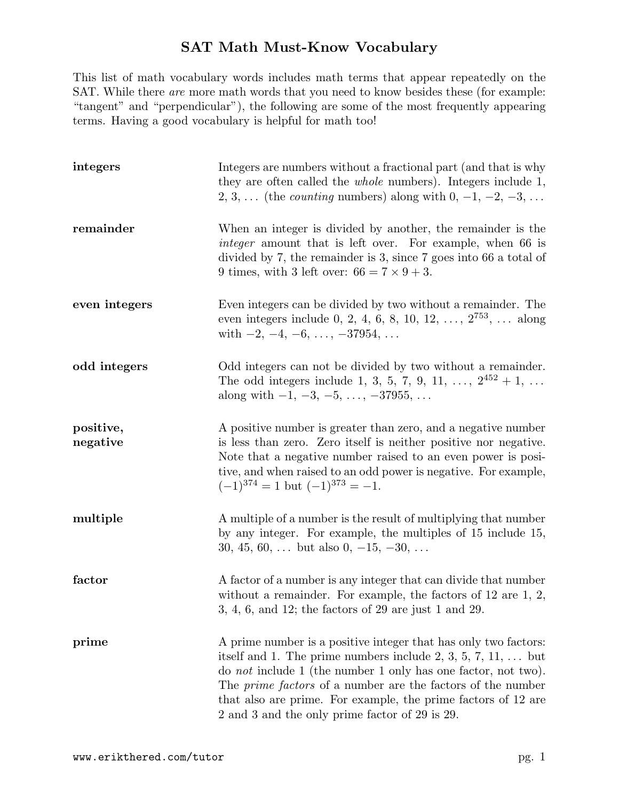## SAT Math Must-Know Vocabulary

This list of math vocabulary words includes math terms that appear repeatedly on the SAT. While there are more math words that you need to know besides these (for example: "tangent" and "perpendicular"), the following are some of the most frequently appearing terms. Having a good vocabulary is helpful for math too!

| integers              | Integers are numbers without a fractional part (and that is why<br>they are often called the <i>whole</i> numbers). Integers include 1,<br>2, 3,  (the <i>counting</i> numbers) along with $0, -1, -2, -3, \ldots$                                                                                                                                                                                      |
|-----------------------|---------------------------------------------------------------------------------------------------------------------------------------------------------------------------------------------------------------------------------------------------------------------------------------------------------------------------------------------------------------------------------------------------------|
| remainder             | When an integer is divided by another, the remainder is the<br><i>integer</i> amount that is left over. For example, when 66 is<br>divided by $7$ , the remainder is 3, since $7$ goes into 66 a total of<br>9 times, with 3 left over: $66 = 7 \times 9 + 3$ .                                                                                                                                         |
| even integers         | Even integers can be divided by two without a remainder. The<br>even integers include 0, 2, 4, 6, 8, 10, 12, , $2^{753}$ ,  along<br>with $-2, -4, -6, \ldots, -37954, \ldots$                                                                                                                                                                                                                          |
| odd integers          | Odd integers can not be divided by two without a remainder.<br>The odd integers include 1, 3, 5, 7, 9, 11, , $2^{452} + 1$ ,<br>along with $-1, -3, -5, \ldots, -37955, \ldots$                                                                                                                                                                                                                         |
| positive,<br>negative | A positive number is greater than zero, and a negative number<br>is less than zero. Zero itself is neither positive nor negative.<br>Note that a negative number raised to an even power is posi-<br>tive, and when raised to an odd power is negative. For example,<br>$(-1)^{374} = 1$ but $(-1)^{373} = -1$ .                                                                                        |
| multiple              | A multiple of a number is the result of multiplying that number<br>by any integer. For example, the multiples of 15 include 15,<br>30, 45, 60,  but also 0, $-15$ , $-30$ ,                                                                                                                                                                                                                             |
| factor                | A factor of a number is any integer that can divide that number<br>without a remainder. For example, the factors of $12$ are $1, 2,$<br>$3,\,4,\,6,$ and $12;$ the factors of $29$ are just $1$ and $29.$                                                                                                                                                                                               |
| prime                 | A prime number is a positive integer that has only two factors:<br>itself and 1. The prime numbers include 2, 3, 5, 7, 11, $\dots$ but<br>do <i>not</i> include 1 (the number 1 only has one factor, not two).<br>The <i>prime factors</i> of a number are the factors of the number<br>that also are prime. For example, the prime factors of 12 are<br>2 and 3 and the only prime factor of 29 is 29. |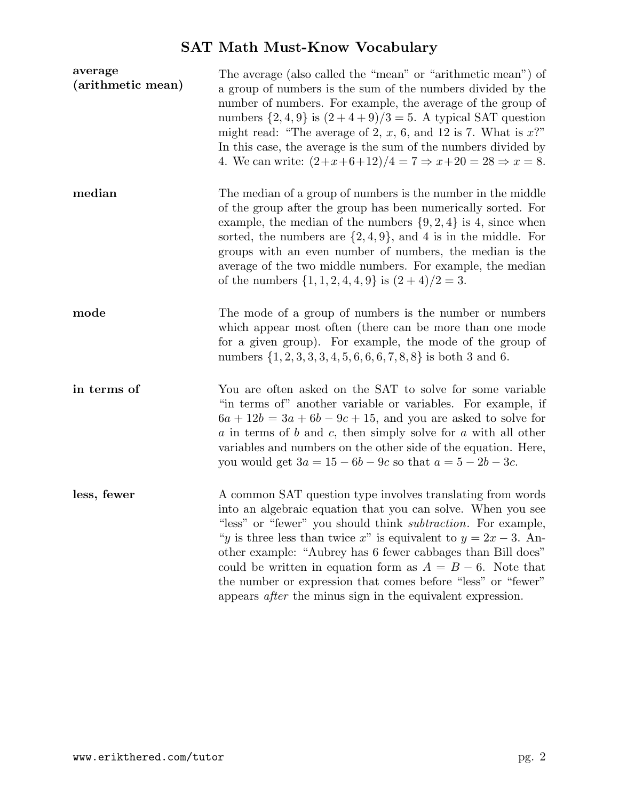## SAT Math Must-Know Vocabulary

| average<br>(arithmetic mean) | The average (also called the "mean" or "arithmetic mean") of<br>a group of numbers is the sum of the numbers divided by the<br>number of numbers. For example, the average of the group of<br>numbers $\{2,4,9\}$ is $(2+4+9)/3=5$ . A typical SAT question<br>might read: "The average of 2, $x$ , 6, and 12 is 7. What is $x$ ?"<br>In this case, the average is the sum of the numbers divided by<br>4. We can write: $(2+x+6+12)/4 = 7 \Rightarrow x+20 = 28 \Rightarrow x = 8$ .                                                       |
|------------------------------|---------------------------------------------------------------------------------------------------------------------------------------------------------------------------------------------------------------------------------------------------------------------------------------------------------------------------------------------------------------------------------------------------------------------------------------------------------------------------------------------------------------------------------------------|
| median                       | The median of a group of numbers is the number in the middle<br>of the group after the group has been numerically sorted. For<br>example, the median of the numbers $\{9, 2, 4\}$ is 4, since when<br>sorted, the numbers are $\{2,4,9\}$ , and 4 is in the middle. For<br>groups with an even number of numbers, the median is the<br>average of the two middle numbers. For example, the median<br>of the numbers $\{1, 1, 2, 4, 4, 9\}$ is $(2 + 4)/2 = 3$ .                                                                             |
| mode                         | The mode of a group of numbers is the number or numbers<br>which appear most often (there can be more than one mode<br>for a given group). For example, the mode of the group of<br>numbers $\{1, 2, 3, 3, 3, 4, 5, 6, 6, 6, 7, 8, 8\}$ is both 3 and 6.                                                                                                                                                                                                                                                                                    |
| in terms of                  | You are often asked on the SAT to solve for some variable<br>"in terms of" another variable or variables. For example, if<br>$6a + 12b = 3a + 6b - 9c + 15$ , and you are asked to solve for<br>$\alpha$ in terms of $\delta$ and $\alpha$ , then simply solve for $\alpha$ with all other<br>variables and numbers on the other side of the equation. Here,<br>you would get $3a = 15 - 6b - 9c$ so that $a = 5 - 2b - 3c$ .                                                                                                               |
| less, fewer                  | A common SAT question type involves translating from words<br>into an algebraic equation that you can solve. When you see<br>"less" or "fewer" you should think <i>subtraction</i> . For example,<br>"y is three less than twice x" is equivalent to $y = 2x - 3$ . An-<br>other example: "Aubrey has 6 fewer cabbages than Bill does"<br>could be written in equation form as $A = B - 6$ . Note that<br>the number or expression that comes before "less" or "fewer"<br>appears <i>after</i> the minus sign in the equivalent expression. |